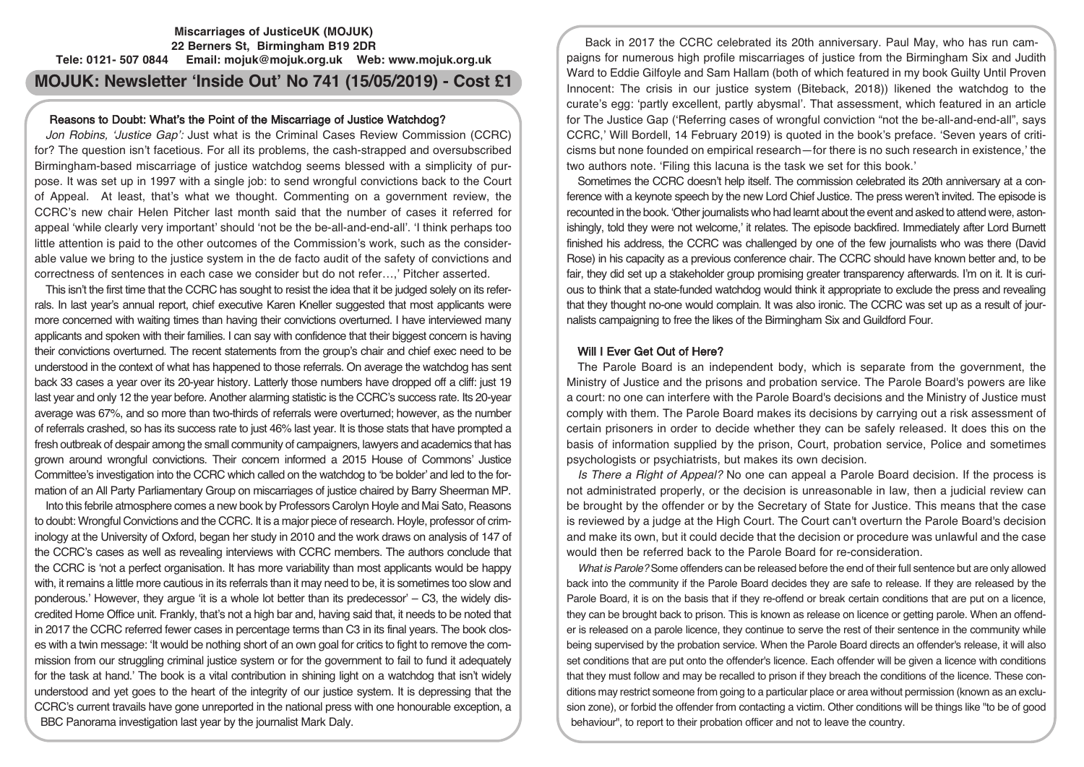## **Miscarriages of JusticeUK (MOJUK) 22 Berners St, Birmingham B19 2DR Tele: 0121- 507 0844 Email: mojuk@mojuk.org.uk Web: www.mojuk.org.uk**

# **MOJUK: Newsletter 'Inside Out' No 741 (15/05/2019) - Cost £1**

## Reasons to Doubt: What's the Point of the Miscarriage of Justice Watchdog?

Jon Robins, 'Justice Gap': Just what is the Criminal Cases Review Commission (CCRC) for? The question isn't facetious. For all its problems, the cash-strapped and oversubscribed Birmingham-based miscarriage of justice watchdog seems blessed with a simplicity of purpose. It was set up in 1997 with a single job: to send wrongful convictions back to the Court of Appeal. At least, that's what we thought. Commenting on a government review, the CCRC's new chair Helen Pitcher last month said that the number of cases it referred for appeal 'while clearly very important' should 'not be the be-all-and-end-all'. 'I think perhaps too little attention is paid to the other outcomes of the Commission's work, such as the considerable value we bring to the justice system in the de facto audit of the safety of convictions and correctness of sentences in each case we consider but do not refer…,' Pitcher asserted.

This isn't the first time that the CCRC has sought to resist the idea that it be judged solely on its referrals. In last year's annual report, chief executive Karen Kneller suggested that most applicants were more concerned with waiting times than having their convictions overturned. I have interviewed many applicants and spoken with their families. I can say with confidence that their biggest concern is having their convictions overturned. The recent statements from the group's chair and chief exec need to be understood in the context of what has happened to those referrals. On average the watchdog has sent back 33 cases a year over its 20-year history. Latterly those numbers have dropped off a cliff: just 19 last year and only 12 the year before. Another alarming statistic is the CCRC's success rate. Its 20-year average was 67%, and so more than two-thirds of referrals were overturned; however, as the number of referrals crashed, so has its success rate to just 46% last year. It is those stats that have prompted a fresh outbreak of despair among the small community of campaigners, lawyers and academics that has grown around wrongful convictions. Their concern informed a 2015 House of Commons' Justice Committee's investigation into the CCRC which called on the watchdog to 'be bolder' and led to the formation of an All Party Parliamentary Group on miscarriages of justice chaired by Barry Sheerman MP.

Into this febrile atmosphere comes a new book by Professors Carolyn Hoyle and Mai Sato, Reasons to doubt: Wrongful Convictions and the CCRC. It is a major piece of research. Hoyle, professor of criminology at the University of Oxford, began her study in 2010 and the work draws on analysis of 147 of the CCRC's cases as well as revealing interviews with CCRC members. The authors conclude that the CCRC is 'not a perfect organisation. It has more variability than most applicants would be happy with, it remains a little more cautious in its referrals than it may need to be, it is sometimes too slow and ponderous.' However, they argue 'it is a whole lot better than its predecessor' – C3, the widely discredited Home Office unit. Frankly, that's not a high bar and, having said that, it needs to be noted that in 2017 the CCRC referred fewer cases in percentage terms than C3 in its final years. The book closes with a twin message: 'It would be nothing short of an own goal for critics to fight to remove the commission from our struggling criminal justice system or for the government to fail to fund it adequately for the task at hand.' The book is a vital contribution in shining light on a watchdog that isn't widely understood and yet goes to the heart of the integrity of our justice system. It is depressing that the CCRC's current travails have gone unreported in the national press with one honourable exception, a BBC Panorama investigation last year by the journalist Mark Daly.

Back in 2017 the CCRC celebrated its 20th anniversary. Paul May, who has run campaigns for numerous high profile miscarriages of justice from the Birmingham Six and Judith Ward to Eddie Gilfoyle and Sam Hallam (both of which featured in my book Guilty Until Proven Innocent: The crisis in our justice system (Biteback, 2018)) likened the watchdog to the curate's egg: 'partly excellent, partly abysmal'. That assessment, which featured in an article for The Justice Gap ('Referring cases of wrongful conviction "not the be-all-and-end-all", says CCRC,' Will Bordell, 14 February 2019) is quoted in the book's preface. 'Seven years of criticisms but none founded on empirical research—for there is no such research in existence,' the two authors note. 'Filing this lacuna is the task we set for this book.'

Sometimes the CCRC doesn't help itself. The commission celebrated its 20th anniversary at a conference with a keynote speech by the new Lord Chief Justice. The press weren't invited. The episode is recounted in the book. 'Other journalists who had learnt about the event and asked to attend were, astonishingly, told they were not welcome,' it relates. The episode backfired. Immediately after Lord Burnett finished his address, the CCRC was challenged by one of the few journalists who was there (David Rose) in his capacity as a previous conference chair. The CCRC should have known better and, to be fair, they did set up a stakeholder group promising greater transparency afterwards. I'm on it. It is curious to think that a state-funded watchdog would think it appropriate to exclude the press and revealing that they thought no-one would complain. It was also ironic. The CCRC was set up as a result of journalists campaigning to free the likes of the Birmingham Six and Guildford Four.

## Will I Ever Get Out of Here?

The Parole Board is an independent body, which is separate from the government, the Ministry of Justice and the prisons and probation service. The Parole Board's powers are like a court: no one can interfere with the Parole Board's decisions and the Ministry of Justice must comply with them. The Parole Board makes its decisions by carrying out a risk assessment of certain prisoners in order to decide whether they can be safely released. It does this on the basis of information supplied by the prison, Court, probation service, Police and sometimes psychologists or psychiatrists, but makes its own decision.

Is There <sup>a</sup> Right of Appeal? No one can appeal a Parole Board decision. If the process is not administrated properly, or the decision is unreasonable in law, then a judicial review can be brought by the offender or by the Secretary of State for Justice. This means that the case is reviewed by a judge at the High Court. The Court can't overturn the Parole Board's decision and make its own, but it could decide that the decision or procedure was unlawful and the case would then be referred back to the Parole Board for re-consideration.

What is Parole? Some offenders can be released before the end of their full sentence but are only allowed back into the community if the Parole Board decides they are safe to release. If they are released by the Parole Board, it is on the basis that if they re-offend or break certain conditions that are put on a licence, they can be brought back to prison. This is known as release on licence or getting parole. When an offender is released on a parole licence, they continue to serve the rest of their sentence in the community while being supervised by the probation service. When the Parole Board directs an offender's release, it will also set conditions that are put onto the offender's licence. Each offender will be given a licence with conditions that they must follow and may be recalled to prison if they breach the conditions of the licence. These conditions may restrict someone from going to a particular place or area without permission (known as an exclusion zone), or forbid the offender from contacting a victim. Other conditions will be things like "to be of good behaviour", to report to their probation officer and not to leave the country.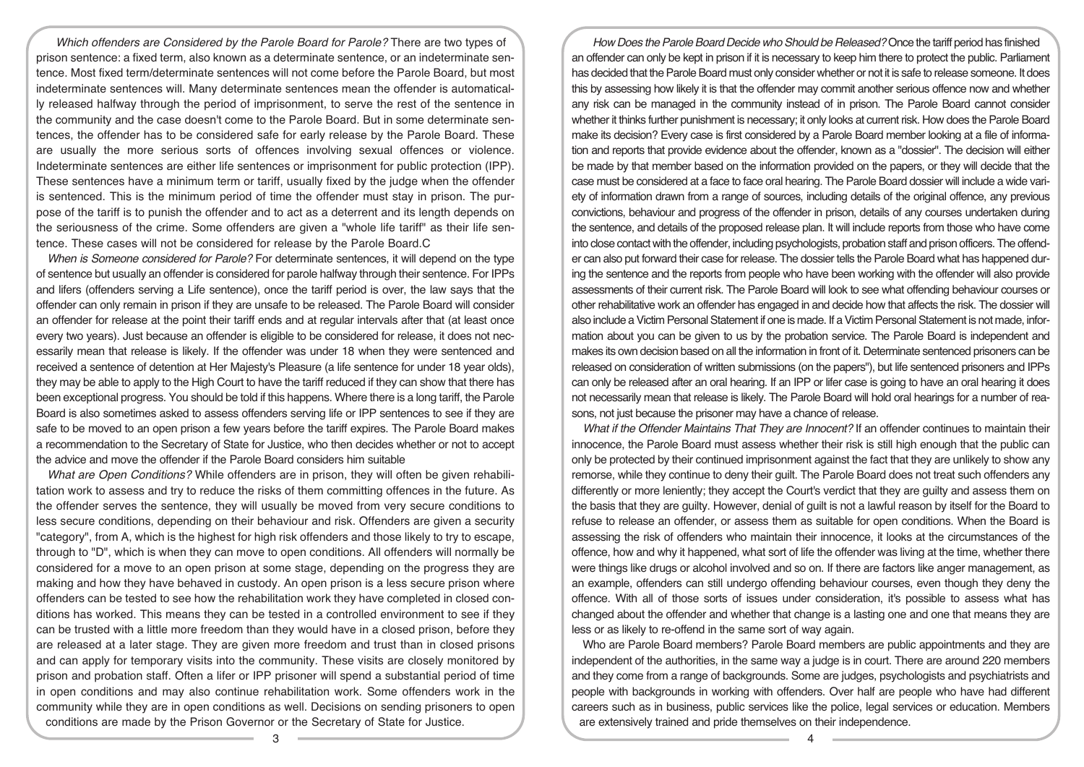Which offenders are Considered by the Parole Board for Parole? There are two types of prison sentence: a fixed term, also known as a determinate sentence, or an indeterminate sentence. Most fixed term/determinate sentences will not come before the Parole Board, but most indeterminate sentences will. Many determinate sentences mean the offender is automatically released halfway through the period of imprisonment, to serve the rest of the sentence in the community and the case doesn't come to the Parole Board. But in some determinate sentences, the offender has to be considered safe for early release by the Parole Board. These are usually the more serious sorts of offences involving sexual offences or violence. Indeterminate sentences are either life sentences or imprisonment for public protection (IPP). These sentences have a minimum term or tariff, usually fixed by the judge when the offender is sentenced. This is the minimum period of time the offender must stay in prison. The purpose of the tariff is to punish the offender and to act as a deterrent and its length depends on the seriousness of the crime. Some offenders are given a "whole life tariff" as their life sentence. These cases will not be considered for release by the Parole Board.C

When is Someone considered for Parole? For determinate sentences, it will depend on the type of sentence but usually an offender is considered for parole halfway through their sentence. For IPPs and lifers (offenders serving a Life sentence), once the tariff period is over, the law says that the offender can only remain in prison if they are unsafe to be released. The Parole Board will consider an offender for release at the point their tariff ends and at regular intervals after that (at least once every two years). Just because an offender is eligible to be considered for release, it does not necessarily mean that release is likely. If the offender was under 18 when they were sentenced and received a sentence of detention at Her Majesty's Pleasure (a life sentence for under 18 year olds), they may be able to apply to the High Court to have the tariff reduced if they can show that there has been exceptional progress. You should be told if this happens. Where there is a long tariff, the Parole Board is also sometimes asked to assess offenders serving life or IPP sentences to see if they are safe to be moved to an open prison a few years before the tariff expires. The Parole Board makes a recommendation to the Secretary of State for Justice, who then decides whether or not to accept the advice and move the offender if the Parole Board considers him suitable

What are Open Conditions? While offenders are in prison, they will often be given rehabilitation work to assess and try to reduce the risks of them committing offences in the future. As the offender serves the sentence, they will usually be moved from very secure conditions to less secure conditions, depending on their behaviour and risk. Offenders are given a security "category", from A, which is the highest for high risk offenders and those likely to try to escape, through to "D", which is when they can move to open conditions. All offenders will normally be considered for a move to an open prison at some stage, depending on the progress they are making and how they have behaved in custody. An open prison is a less secure prison where offenders can be tested to see how the rehabilitation work they have completed in closed conditions has worked. This means they can be tested in a controlled environment to see if they can be trusted with a little more freedom than they would have in a closed prison, before they are released at a later stage. They are given more freedom and trust than in closed prisons and can apply for temporary visits into the community. These visits are closely monitored by prison and probation staff. Often a lifer or IPP prisoner will spend a substantial period of time in open conditions and may also continue rehabilitation work. Some offenders work in the community while they are in open conditions as well. Decisions on sending prisoners to open conditions are made by the Prison Governor or the Secretary of State for Justice.

How Does the Parole Board Decide who Should be Released? Once the tariff period has finished an offender can only be kept in prison if it is necessary to keep him there to protect the public. Parliament has decided that the Parole Board must only consider whether or not it is safe to release someone. It does this by assessing how likely it is that the offender may commit another serious offence now and whether any risk can be managed in the community instead of in prison. The Parole Board cannot consider whether it thinks further punishment is necessary; it only looks at current risk. How does the Parole Board make its decision? Every case is first considered by a Parole Board member looking at a file of information and reports that provide evidence about the offender, known as a "dossier". The decision will either be made by that member based on the information provided on the papers, or they will decide that the case must be considered at a face to face oral hearing. The Parole Board dossier will include a wide variety of information drawn from a range of sources, including details of the original offence, any previous convictions, behaviour and progress of the offender in prison, details of any courses undertaken during the sentence, and details of the proposed release plan. It will include reports from those who have come into close contact with the offender, including psychologists, probation staff and prison officers.The offender can also put forward their case for release. The dossier tells the Parole Board what has happened during the sentence and the reports from people who have been working with the offender will also provide assessments of their current risk. The Parole Board will look to see what offending behaviour courses or other rehabilitative work an offender has engaged in and decide how that affects the risk. The dossier will also include a Victim Personal Statement if one is made. If a Victim Personal Statement is not made, information about you can be given to us by the probation service. The Parole Board is independent and makes its own decision based on all the information in front of it. Determinate sentenced prisoners can be released on consideration of written submissions (on the papers"), but life sentenced prisoners and IPPs can only be released after an oral hearing. If an IPP or lifer case is going to have an oral hearing it does not necessarily mean that release is likely. The Parole Board will hold oral hearings for a number of reasons, not just because the prisoner may have a chance of release.

What if the Offender Maintains That They are Innocent? If an offender continues to maintain their innocence, the Parole Board must assess whether their risk is still high enough that the public can only be protected by their continued imprisonment against the fact that they are unlikely to show any remorse, while they continue to deny their guilt. The Parole Board does not treat such offenders any differently or more leniently; they accept the Court's verdict that they are guilty and assess them on the basis that they are guilty. However, denial of guilt is not a lawful reason by itself for the Board to refuse to release an offender, or assess them as suitable for open conditions. When the Board is assessing the risk of offenders who maintain their innocence, it looks at the circumstances of the offence, how and why it happened, what sort of life the offender was living at the time, whether there were things like drugs or alcohol involved and so on. If there are factors like anger management, as an example, offenders can still undergo offending behaviour courses, even though they deny the offence. With all of those sorts of issues under consideration, it's possible to assess what has changed about the offender and whether that change is a lasting one and one that means they are less or as likely to re-offend in the same sort of way again.

Who are Parole Board members? Parole Board members are public appointments and they are independent of the authorities, in the same way a judge is in court. There are around 220 members and they come from a range of backgrounds. Some are judges, psychologists and psychiatrists and people with backgrounds in working with offenders. Over half are people who have had different careers such as in business, public services like the police, legal services or education. Members are extensively trained and pride themselves on their independence.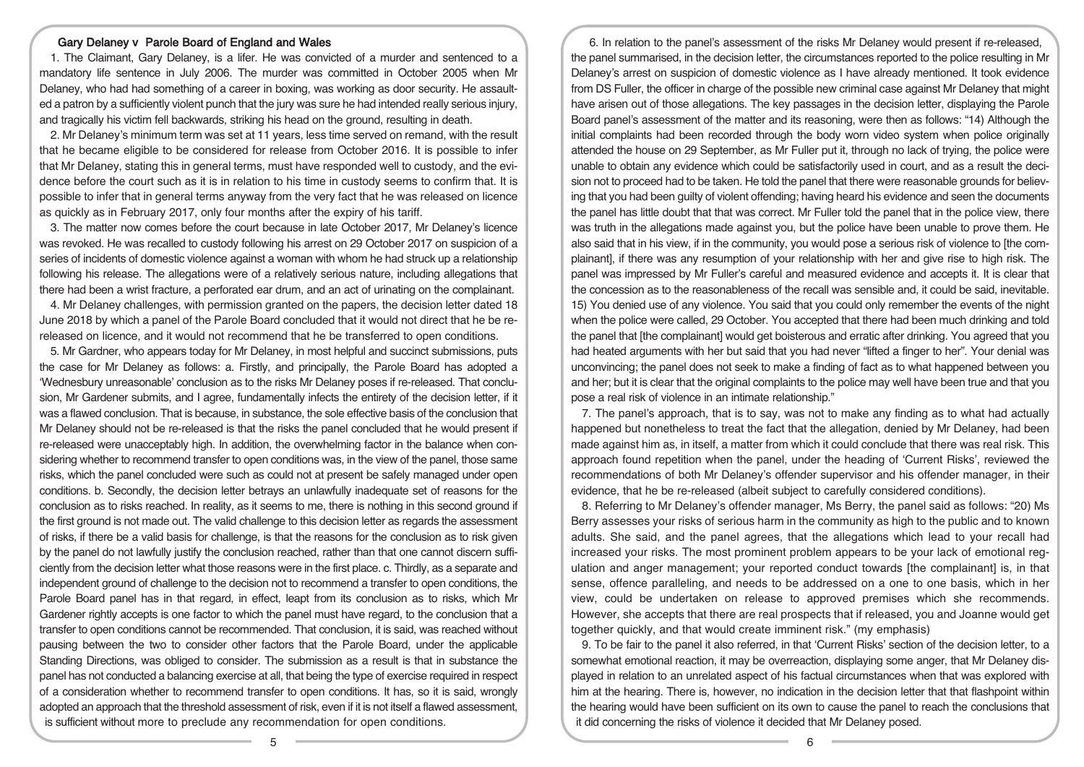## Gary Delaney v Parole Board of England and Wales

1. The Claimant, Gary Delaney, is a lifer. He was convicted of a murder and sentenced to a mandatory life sentence in July 2006. The murder was committed in October 2005 when Mr Delaney, who had had something of a career in boxing, was working as door security. He assaulted a patron by a sufficiently violent punch that the jury was sure he had intended really serious injury, and tragically his victim fell backwards, striking his head on the ground, resulting in death.

2. Mr Delaney's minimum term was set at 11 years, less time served on remand, with the result that he became eligible to be considered for release from October 2016. It is possible to infer that Mr Delaney, stating this in general terms, must have responded well to custody, and the evidence before the court such as it is in relation to his time in custody seems to confirm that. It is possible to infer that in general terms anyway from the very fact that he was released on licence as quickly as in February 2017, only four months after the expiry of his tariff.

3. The matter now comes before the court because in late October 2017, Mr Delaney's licence was revoked. He was recalled to custody following his arrest on 29 October 2017 on suspicion of a series of incidents of domestic violence against a woman with whom he had struck up a relationship following his release. The allegations were of a relatively serious nature, including allegations that there had been a wrist fracture, a perforated ear drum, and an act of urinating on the complainant.

4. Mr Delaney challenges, with permission granted on the papers, the decision letter dated 18 June 2018 by which a panel of the Parole Board concluded that it would not direct that he be rereleased on licence, and it would not recommend that he be transferred to open conditions.

5. Mr Gardner, who appears today for Mr Delaney, in most helpful and succinct submissions, puts the case for Mr Delaney as follows: a. Firstly, and principally, the Parole Board has adopted a 'Wednesbury unreasonable' conclusion as to the risks Mr Delaney poses if re-released. That conclusion, Mr Gardener submits, and I agree, fundamentally infects the entirety of the decision letter, if it was a flawed conclusion. That is because, in substance, the sole effective basis of the conclusion that Mr Delaney should not be re-released is that the risks the panel concluded that he would present if re-released were unacceptably high. In addition, the overwhelming factor in the balance when considering whether to recommend transfer to open conditions was, in the view of the panel, those same risks, which the panel concluded were such as could not at present be safely managed under open conditions. b. Secondly, the decision letter betrays an unlawfully inadequate set of reasons for the conclusion as to risks reached. In reality, as it seems to me, there is nothing in this second ground if the first around is not made out. The valid challenge to this decision letter as regards the assessment of risks, if there be a valid basis for challenge, is that the reasons for the conclusion as to risk given by the panel do not lawfully justify the conclusion reached, rather than that one cannot discern sufficiently from the decision letter what those reasons were in the first place. c. Thirdly, as a separate and independent ground of challenge to the decision not to recommend a transfer to open conditions, the Parole Board panel has in that regard, in effect, leapt from its conclusion as to risks, which Mr Gardener rightly accepts is one factor to which the panel must have regard, to the conclusion that a transfer to open conditions cannot be recommended. That conclusion, it is said, was reached without pausing between the two to consider other factors that the Parole Board, under the applicable Standing Directions, was obliged to consider. The submission as a result is that in substance the panel has not conducted a balancing exercise at all, that being the type of exercise required in respect of a consideration whether to recommend transfer to open conditions. It has, so it is said, wrongly adopted an approach that the threshold assessment of risk, even if it is not itself a flawed assessment, is sufficient without more to preclude any recommendation for open conditions.

6. In relation to the panel's assessment of the risks Mr Delaney would present if re-released, the panel summarised, in the decision letter, the circumstances reported to the police resulting in Mr Delaney's arrest on suspicion of domestic violence as I have already mentioned. It took evidence from DS Fuller, the officer in charge of the possible new criminal case against Mr Delaney that might have arisen out of those allegations. The key passages in the decision letter, displaying the Parole Board panel's assessment of the matter and its reasoning, were then as follows: "14) Although the initial complaints had been recorded through the body worn video system when police originally attended the house on 29 September, as Mr Fuller put it, through no lack of trying, the police were unable to obtain any evidence which could be satisfactorily used in court, and as a result the decision not to proceed had to be taken. He told the panel that there were reasonable grounds for believing that you had been guilty of violent offending; having heard his evidence and seen the documents the panel has little doubt that that was correct. Mr Fuller told the panel that in the police view, there was truth in the allegations made against you, but the police have been unable to prove them. He also said that in his view, if in the community, you would pose a serious risk of violence to [the complainant], if there was any resumption of your relationship with her and give rise to high risk. The panel was impressed by Mr Fuller's careful and measured evidence and accepts it. It is clear that the concession as to the reasonableness of the recall was sensible and, it could be said, inevitable. 15) You denied use of any violence. You said that you could only remember the events of the night when the police were called, 29 October. You accepted that there had been much drinking and told the panel that [the complainant] would get boisterous and erratic after drinking. You agreed that you had heated arguments with her but said that you had never "lifted a finger to her". Your denial was unconvincing; the panel does not seek to make a finding of fact as to what happened between you and her; but it is clear that the original complaints to the police may well have been true and that you pose a real risk of violence in an intimate relationship."

7. The panel's approach, that is to say, was not to make any finding as to what had actually happened but nonetheless to treat the fact that the allegation, denied by Mr Delaney, had been made against him as, in itself, a matter from which it could conclude that there was real risk. This approach found repetition when the panel, under the heading of 'Current Risks', reviewed the recommendations of both Mr Delaney's offender supervisor and his offender manager, in their evidence, that he be re-released (albeit subject to carefully considered conditions).

8. Referring to Mr Delaney's offender manager, Ms Berry, the panel said as follows: "20) Ms Berry assesses your risks of serious harm in the community as high to the public and to known adults. She said, and the panel agrees, that the allegations which lead to your recall had increased your risks. The most prominent problem appears to be your lack of emotional regulation and anger management; your reported conduct towards [the complainant] is, in that sense, offence paralleling, and needs to be addressed on a one to one basis, which in her view, could be undertaken on release to approved premises which she recommends. However, she accepts that there are real prospects that if released, you and Joanne would get together quickly, and that would create imminent risk." (my emphasis)

9. To be fair to the panel it also referred, in that 'Current Risks' section of the decision letter, to a somewhat emotional reaction, it may be overreaction, displaying some anger, that Mr Delaney displayed in relation to an unrelated aspect of his factual circumstances when that was explored with him at the hearing. There is, however, no indication in the decision letter that that flashpoint within the hearing would have been sufficient on its own to cause the panel to reach the conclusions that it did concerning the risks of violence it decided that Mr Delaney posed.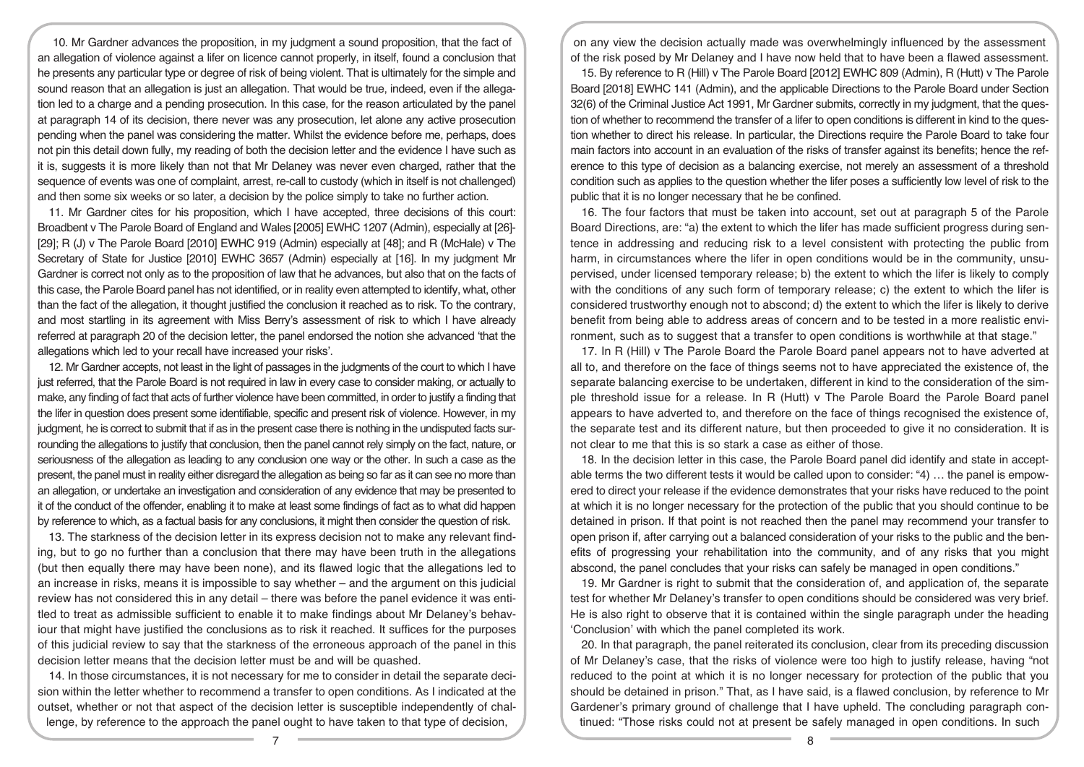10. Mr Gardner advances the proposition, in my judgment a sound proposition, that the fact of an allegation of violence against a lifer on licence cannot properly, in itself, found a conclusion that he presents any particular type or degree of risk of being violent. That is ultimately for the simple and sound reason that an allegation is just an allegation. That would be true, indeed, even if the allegation led to a charge and a pending prosecution. In this case, for the reason articulated by the panel at paragraph 14 of its decision, there never was any prosecution, let alone any active prosecution pending when the panel was considering the matter. Whilst the evidence before me, perhaps, does not pin this detail down fully, my reading of both the decision letter and the evidence I have such as it is, suggests it is more likely than not that Mr Delaney was never even charged, rather that the sequence of events was one of complaint, arrest, re-call to custody (which in itself is not challenged) and then some six weeks or so later, a decision by the police simply to take no further action.

11. Mr Gardner cites for his proposition, which I have accepted, three decisions of this court: Broadbent v The Parole Board of England and Wales [2005] EWHC 1207 (Admin), especially at [26]- [29]; R (J) v The Parole Board [2010] EWHC 919 (Admin) especially at [48]; and R (McHale) v The Secretary of State for Justice [2010] EWHC 3657 (Admin) especially at [16]. In my judgment Mr Gardner is correct not only as to the proposition of law that he advances, but also that on the facts of this case, the Parole Board panel has not identified, or in reality even attempted to identify, what, other than the fact of the allegation, it thought justified the conclusion it reached as to risk. To the contrary, and most startling in its agreement with Miss Berry's assessment of risk to which I have already referred at paragraph 20 of the decision letter, the panel endorsed the notion she advanced 'that the allegations which led to your recall have increased your risks'.

12. Mr Gardner accepts, not least in the light of passages in the judgments of the court to which I have just referred, that the Parole Board is not required in law in every case to consider making, or actually to make, any finding of fact that acts of further violence have been committed, in order to justify a finding that the lifer in question does present some identifiable, specific and present risk of violence. However, in my judgment, he is correct to submit that if as in the present case there is nothing in the undisputed facts surrounding the allegations to justify that conclusion, then the panel cannot rely simply on the fact, nature, or seriousness of the allegation as leading to any conclusion one way or the other. In such a case as the present, the panel must in reality either disregard the allegation as being so far as it can see no more than an allegation, or undertake an investigation and consideration of any evidence that may be presented to it of the conduct of the offender, enabling it to make at least some findings of fact as to what did happen by reference to which, as a factual basis for any conclusions, it might then consider the question of risk.

13. The starkness of the decision letter in its express decision not to make any relevant finding, but to go no further than a conclusion that there may have been truth in the allegations (but then equally there may have been none), and its flawed logic that the allegations led to an increase in risks, means it is impossible to say whether – and the argument on this judicial review has not considered this in any detail – there was before the panel evidence it was entitled to treat as admissible sufficient to enable it to make findings about Mr Delaney's behaviour that might have justified the conclusions as to risk it reached. It suffices for the purposes of this judicial review to say that the starkness of the erroneous approach of the panel in this decision letter means that the decision letter must be and will be quashed.

14. In those circumstances, it is not necessary for me to consider in detail the separate decision within the letter whether to recommend a transfer to open conditions. As I indicated at the outset, whether or not that aspect of the decision letter is susceptible independently of challenge, by reference to the approach the panel ought to have taken to that type of decision,

on any view the decision actually made was overwhelmingly influenced by the assessment of the risk posed by Mr Delaney and I have now held that to have been a flawed assessment.

15. By reference to R (Hill) v The Parole Board [2012] EWHC 809 (Admin), R (Hutt) v The Parole Board [2018] EWHC 141 (Admin), and the applicable Directions to the Parole Board under Section 32(6) of the Criminal Justice Act 1991, Mr Gardner submits, correctly in my judgment, that the question of whether to recommend the transfer of a lifer to open conditions is different in kind to the question whether to direct his release. In particular, the Directions require the Parole Board to take four main factors into account in an evaluation of the risks of transfer against its benefits; hence the reference to this type of decision as a balancing exercise, not merely an assessment of a threshold condition such as applies to the question whether the lifer poses a sufficiently low level of risk to the public that it is no longer necessary that he be confined.

16. The four factors that must be taken into account, set out at paragraph 5 of the Parole Board Directions, are: "a) the extent to which the lifer has made sufficient progress during sentence in addressing and reducing risk to a level consistent with protecting the public from harm, in circumstances where the lifer in open conditions would be in the community, unsupervised, under licensed temporary release; b) the extent to which the lifer is likely to comply with the conditions of any such form of temporary release; c) the extent to which the lifer is considered trustworthy enough not to abscond; d) the extent to which the lifer is likely to derive benefit from being able to address areas of concern and to be tested in a more realistic environment, such as to suggest that a transfer to open conditions is worthwhile at that stage."

17. In R (Hill) v The Parole Board the Parole Board panel appears not to have adverted at all to, and therefore on the face of things seems not to have appreciated the existence of, the separate balancing exercise to be undertaken, different in kind to the consideration of the simple threshold issue for a release. In R (Hutt) v The Parole Board the Parole Board panel appears to have adverted to, and therefore on the face of things recognised the existence of, the separate test and its different nature, but then proceeded to give it no consideration. It is not clear to me that this is so stark a case as either of those.

18. In the decision letter in this case, the Parole Board panel did identify and state in acceptable terms the two different tests it would be called upon to consider: "4) … the panel is empowered to direct your release if the evidence demonstrates that your risks have reduced to the point at which it is no longer necessary for the protection of the public that you should continue to be detained in prison. If that point is not reached then the panel may recommend your transfer to open prison if, after carrying out a balanced consideration of your risks to the public and the benefits of progressing your rehabilitation into the community, and of any risks that you might abscond, the panel concludes that your risks can safely be managed in open conditions."

19. Mr Gardner is right to submit that the consideration of, and application of, the separate test for whether Mr Delaney's transfer to open conditions should be considered was very brief. He is also right to observe that it is contained within the single paragraph under the heading 'Conclusion' with which the panel completed its work.

20. In that paragraph, the panel reiterated its conclusion, clear from its preceding discussion of Mr Delaney's case, that the risks of violence were too high to justify release, having "not reduced to the point at which it is no longer necessary for protection of the public that you should be detained in prison." That, as I have said, is a flawed conclusion, by reference to Mr Gardener's primary ground of challenge that I have upheld. The concluding paragraph continued: "Those risks could not at present be safely managed in open conditions. In such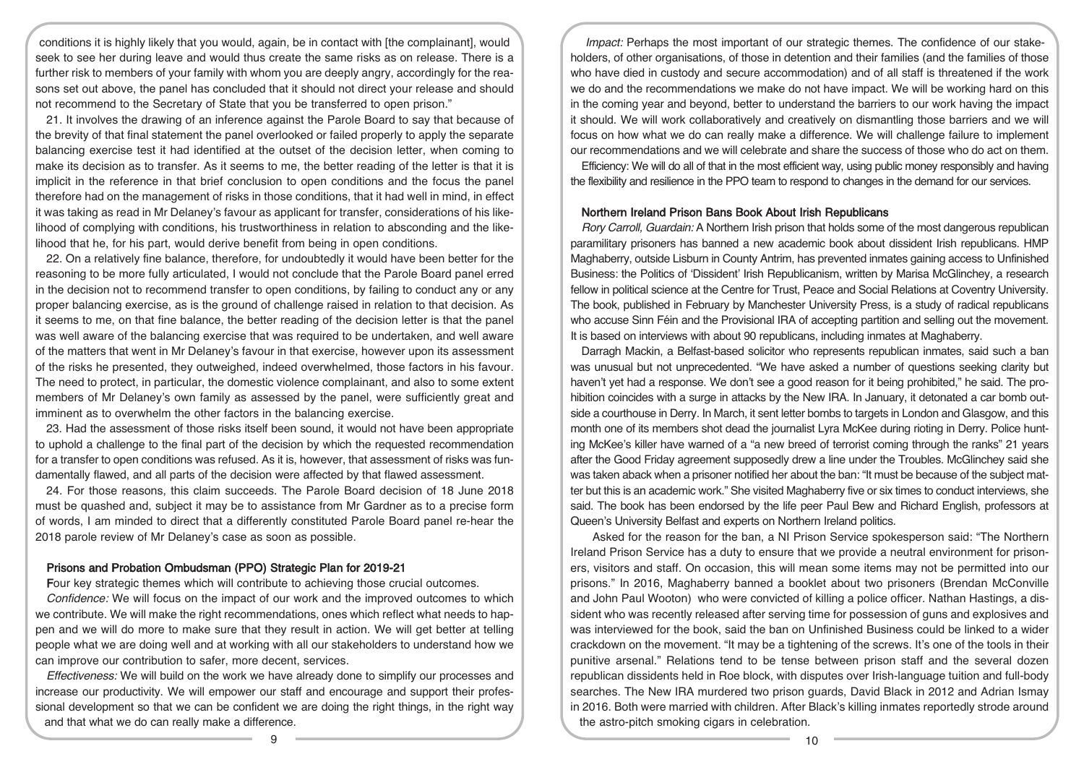conditions it is highly likely that you would, again, be in contact with [the complainant], would seek to see her during leave and would thus create the same risks as on release. There is a further risk to members of your family with whom you are deeply angry, accordingly for the reasons set out above, the panel has concluded that it should not direct your release and should not recommend to the Secretary of State that you be transferred to open prison."

21. It involves the drawing of an inference against the Parole Board to say that because of the brevity of that final statement the panel overlooked or failed properly to apply the separate balancing exercise test it had identified at the outset of the decision letter, when coming to make its decision as to transfer. As it seems to me, the better reading of the letter is that it is implicit in the reference in that brief conclusion to open conditions and the focus the panel therefore had on the management of risks in those conditions, that it had well in mind, in effect it was taking as read in Mr Delaney's favour as applicant for transfer, considerations of his likelihood of complying with conditions, his trustworthiness in relation to absconding and the likelihood that he, for his part, would derive benefit from being in open conditions.

22. On a relatively fine balance, therefore, for undoubtedly it would have been better for the reasoning to be more fully articulated, I would not conclude that the Parole Board panel erred in the decision not to recommend transfer to open conditions, by failing to conduct any or any proper balancing exercise, as is the ground of challenge raised in relation to that decision. As it seems to me, on that fine balance, the better reading of the decision letter is that the panel was well aware of the balancing exercise that was required to be undertaken, and well aware of the matters that went in Mr Delaney's favour in that exercise, however upon its assessment of the risks he presented, they outweighed, indeed overwhelmed, those factors in his favour. The need to protect, in particular, the domestic violence complainant, and also to some extent members of Mr Delaney's own family as assessed by the panel, were sufficiently great and imminent as to overwhelm the other factors in the balancing exercise.

23. Had the assessment of those risks itself been sound, it would not have been appropriate to uphold a challenge to the final part of the decision by which the requested recommendation for a transfer to open conditions was refused. As it is, however, that assessment of risks was fundamentally flawed, and all parts of the decision were affected by that flawed assessment.

24. For those reasons, this claim succeeds. The Parole Board decision of 18 June 2018 must be quashed and, subject it may be to assistance from Mr Gardner as to a precise form of words, I am minded to direct that a differently constituted Parole Board panel re-hear the 2018 parole review of Mr Delaney's case as soon as possible.

## Prisons and Probation Ombudsman (PPO) Strategic Plan for 2019-21

Four key strategic themes which will contribute to achieving those crucial outcomes.

Confidence: We will focus on the impact of our work and the improved outcomes to which we contribute. We will make the right recommendations, ones which reflect what needs to happen and we will do more to make sure that they result in action. We will get better at telling people what we are doing well and at working with all our stakeholders to understand how we can improve our contribution to safer, more decent, services.

Effectiveness: We will build on the work we have already done to simplify our processes and increase our productivity. We will empower our staff and encourage and support their professional development so that we can be confident we are doing the right things, in the right way and that what we do can really make a difference.

Impact: Perhaps the most important of our strategic themes. The confidence of our stakeholders, of other organisations, of those in detention and their families (and the families of those who have died in custody and secure accommodation) and of all staff is threatened if the work we do and the recommendations we make do not have impact. We will be working hard on this in the coming year and beyond, better to understand the barriers to our work having the impact it should. We will work collaboratively and creatively on dismantling those barriers and we will focus on how what we do can really make a difference. We will challenge failure to implement our recommendations and we will celebrate and share the success of those who do act on them.

Efficiency: We will do all of that in the most efficient way, using public money responsibly and having the flexibility and resilience in the PPO team to respond to changes in the demand for our services.

### Northern Ireland Prison Bans Book About Irish Republicans

Rory Carroll, Guardain: A Northern Irish prison that holds some of the most dangerous republican paramilitary prisoners has banned a new academic book about dissident Irish republicans. HMP Maghaberry, outside Lisburn in County Antrim, has prevented inmates gaining access to Unfinished Business: the Politics of 'Dissident' Irish Republicanism, written by Marisa McGlinchey, a research fellow in political science at the Centre for Trust, Peace and Social Relations at Coventry University. The book, published in February by Manchester University Press, is a study of radical republicans who accuse Sinn Féin and the Provisional IRA of accepting partition and selling out the movement. It is based on interviews with about 90 republicans, including inmates at Maghaberry.

Darragh Mackin, a Belfast-based solicitor who represents republican inmates, said such a ban was unusual but not unprecedented. "We have asked a number of questions seeking clarity but haven't yet had a response. We don't see a good reason for it being prohibited," he said. The prohibition coincides with a surge in attacks by the New IRA. In January, it detonated a car bomb outside a courthouse in Derry. In March, it sent letter bombs to targets in London and Glasgow, and this month one of its members shot dead the journalist Lyra McKee during rioting in Derry. Police hunting McKee's killer have warned of a "a new breed of terrorist coming through the ranks" 21 years after the Good Friday agreement supposedly drew a line under the Troubles. McGlinchey said she was taken aback when a prisoner notified her about the ban: "It must be because of the subject matter but this is an academic work." She visited Maghaberry five or six times to conduct interviews, she said. The book has been endorsed by the life peer Paul Bew and Richard English, professors at Queen's University Belfast and experts on Northern Ireland politics.

Asked for the reason for the ban, a NI Prison Service spokesperson said: "The Northern Ireland Prison Service has a duty to ensure that we provide a neutral environment for prisoners, visitors and staff. On occasion, this will mean some items may not be permitted into our prisons." In 2016, Maghaberry banned a booklet about two prisoners (Brendan McConville and John Paul Wooton) who were convicted of killing a police officer. Nathan Hastings, a dissident who was recently released after serving time for possession of guns and explosives and was interviewed for the book, said the ban on Unfinished Business could be linked to a wider crackdown on the movement. "It may be a tightening of the screws. It's one of the tools in their punitive arsenal." Relations tend to be tense between prison staff and the several dozen republican dissidents held in Roe block, with disputes over Irish-language tuition and full-body searches. The New IRA murdered two prison guards, David Black in 2012 and Adrian Ismay in 2016. Both were married with children. After Black's killing inmates reportedly strode around the astro-pitch smoking cigars in celebration.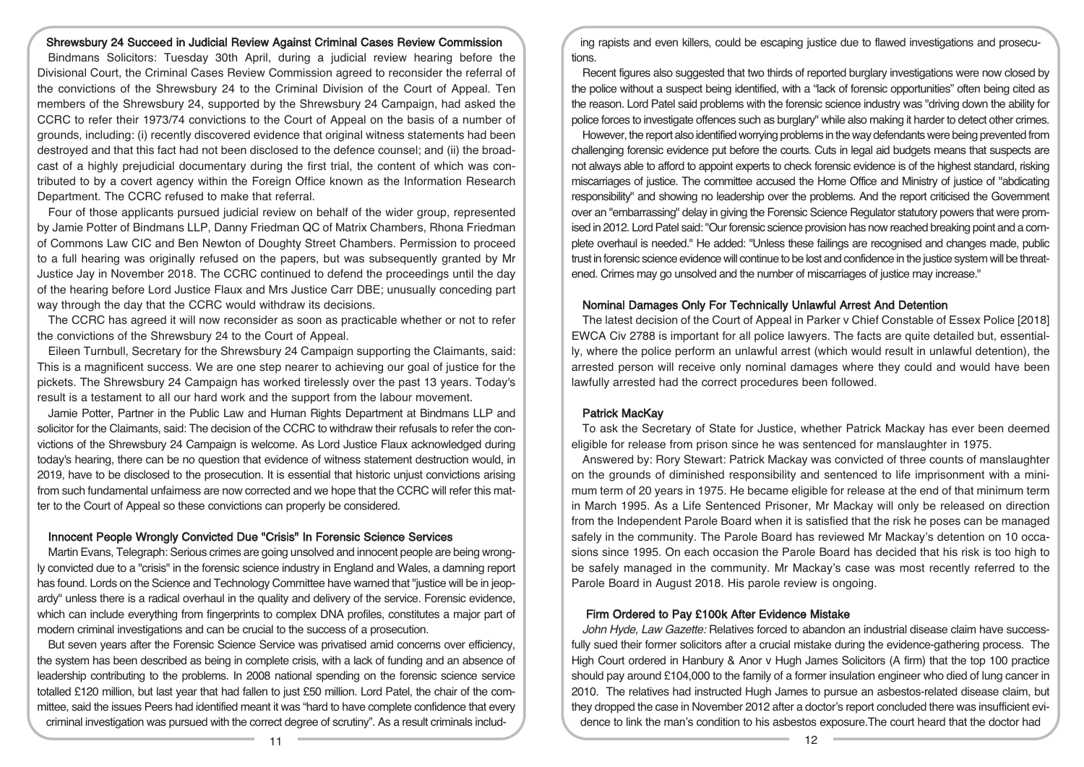## Shrewsbury 24 Succeed in Judicial Review Against Criminal Cases Review Commission

Bindmans Solicitors: Tuesday 30th April, during a judicial review hearing before the Divisional Court, the Criminal Cases Review Commission agreed to reconsider the referral of the convictions of the Shrewsbury 24 to the Criminal Division of the Court of Appeal. Ten members of the Shrewsbury 24, supported by the Shrewsbury 24 Campaign, had asked the CCRC to refer their 1973/74 convictions to the Court of Appeal on the basis of a number of grounds, including: (i) recently discovered evidence that original witness statements had been destroyed and that this fact had not been disclosed to the defence counsel; and (ii) the broadcast of a highly prejudicial documentary during the first trial, the content of which was contributed to by a covert agency within the Foreign Office known as the Information Research Department. The CCRC refused to make that referral.

Four of those applicants pursued judicial review on behalf of the wider group, represented by Jamie Potter of Bindmans LLP, Danny Friedman QC of Matrix Chambers, Rhona Friedman of Commons Law CIC and Ben Newton of Doughty Street Chambers. Permission to proceed to a full hearing was originally refused on the papers, but was subsequently granted by Mr Justice Jay in November 2018. The CCRC continued to defend the proceedings until the day of the hearing before Lord Justice Flaux and Mrs Justice Carr DBE; unusually conceding part way through the day that the CCRC would withdraw its decisions.

The CCRC has agreed it will now reconsider as soon as practicable whether or not to refer the convictions of the Shrewsbury 24 to the Court of Appeal.

Eileen Turnbull, Secretary for the Shrewsbury 24 Campaign supporting the Claimants, said: This is a magnificent success. We are one step nearer to achieving our goal of justice for the pickets. The Shrewsbury 24 Campaign has worked tirelessly over the past 13 years. Today's result is a testament to all our hard work and the support from the labour movement.

Jamie Potter, Partner in the Public Law and Human Rights Department at Bindmans LLP and solicitor for the Claimants, said: The decision of the CCRC to withdraw their refusals to refer the convictions of the Shrewsbury 24 Campaign is welcome. As Lord Justice Flaux acknowledged during today's hearing, there can be no question that evidence of witness statement destruction would, in 2019, have to be disclosed to the prosecution. It is essential that historic unjust convictions arising from such fundamental unfairness are now corrected and we hope that the CCRC will refer this matter to the Court of Appeal so these convictions can properly be considered.

#### Innocent People Wrongly Convicted Due "Crisis" In Forensic Science Services

Martin Evans, Telegraph: Serious crimes are going unsolved and innocent people are being wrongly convicted due to a "crisis" in the forensic science industry in England and Wales, a damning report has found. Lords on the Science and Technology Committee have warned that "justice will be in jeopardy" unless there is a radical overhaul in the quality and delivery of the service. Forensic evidence, which can include everything from fingerprints to complex DNA profiles, constitutes a major part of modern criminal investigations and can be crucial to the success of a prosecution.

But seven years after the Forensic Science Service was privatised amid concerns over efficiency, the system has been described as being in complete crisis, with a lack of funding and an absence of leadership contributing to the problems. In 2008 national spending on the forensic science service totalled £120 million, but last year that had fallen to just £50 million. Lord Patel, the chair of the committee, said the issues Peers had identified meant it was "hard to have complete confidence that every criminal investigation was pursued with the correct degree of scrutiny". As a result criminals includ-

ing rapists and even killers, could be escaping justice due to flawed investigations and prosecutions.

Recent figures also suggested that two thirds of reported burglary investigations were now closed by the police without a suspect being identified, with a "lack of forensic opportunities" often being cited as the reason. Lord Patel said problems with the forensic science industry was "driving down the ability for police forces to investigate offences such as burglary" while also making it harder to detect other crimes.

However, the report also identified worrying problems in the way defendants were being prevented from challenging forensic evidence put before the courts. Cuts in legal aid budgets means that suspects are not always able to afford to appoint experts to check forensic evidence is of the highest standard, risking miscarriages of justice. The committee accused the Home Office and Ministry of justice of "abdicating responsibility" and showing no leadership over the problems. And the report criticised the Government over an "embarrassing" delay in giving the Forensic Science Regulator statutory powers that were promised in 2012. Lord Patel said: "Our forensic science provision has now reached breaking point and a complete overhaul is needed." He added: "Unless these failings are recognised and changes made, public trust in forensic science evidence will continue to be lost and confidence in the justice system will be threatened. Crimes may go unsolved and the number of miscarriages of justice may increase."

#### Nominal Damages Only For Technically Unlawful Arrest And Detention

The latest decision of the Court of Appeal in Parker v Chief Constable of Essex Police [2018] EWCA Civ 2788 is important for all police lawyers. The facts are quite detailed but, essentially, where the police perform an unlawful arrest (which would result in unlawful detention), the arrested person will receive only nominal damages where they could and would have been lawfully arrested had the correct procedures been followed.

## Patrick MacKay

To ask the Secretary of State for Justice, whether Patrick Mackay has ever been deemed eligible for release from prison since he was sentenced for manslaughter in 1975.

Answered by: Rory Stewart: Patrick Mackay was convicted of three counts of manslaughter on the grounds of diminished responsibility and sentenced to life imprisonment with a minimum term of 20 years in 1975. He became eligible for release at the end of that minimum term in March 1995. As a Life Sentenced Prisoner, Mr Mackay will only be released on direction from the Independent Parole Board when it is satisfied that the risk he poses can be managed safely in the community. The Parole Board has reviewed Mr Mackay's detention on 10 occasions since 1995. On each occasion the Parole Board has decided that his risk is too high to be safely managed in the community. Mr Mackay's case was most recently referred to the Parole Board in August 2018. His parole review is ongoing.

#### Firm Ordered to Pay £100k After Evidence Mistake

John Hyde, Law Gazette: Relatives forced to abandon an industrial disease claim have successfully sued their former solicitors after a crucial mistake during the evidence-gathering process. The High Court ordered in Hanbury & Anor v Hugh James Solicitors (A firm) that the top 100 practice should pay around £104,000 to the family of a former insulation engineer who died of lung cancer in 2010. The relatives had instructed Hugh James to pursue an asbestos-related disease claim, but they dropped the case in November 2012 after a doctor's report concluded there was insufficient evidence to link the man's condition to his asbestos exposure.The court heard that the doctor had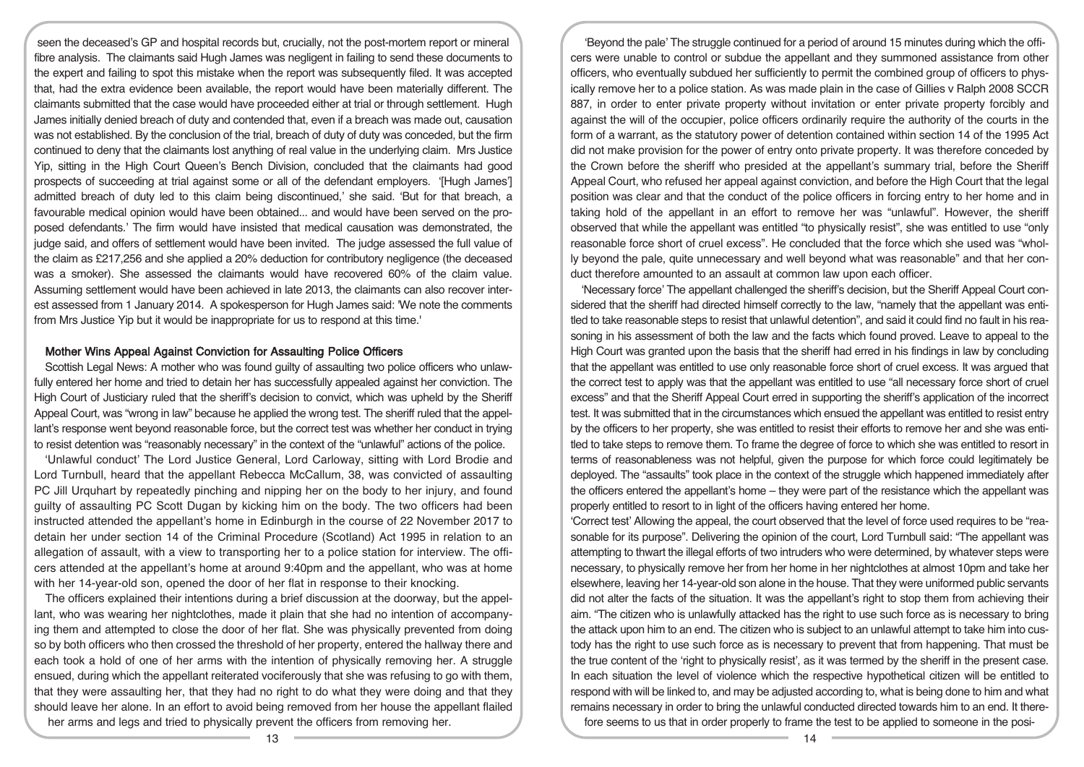seen the deceased's GP and hospital records but, crucially, not the post-mortem report or mineral fibre analysis. The claimants said Hugh James was negligent in failing to send these documents to the expert and failing to spot this mistake when the report was subsequently filed. It was accepted that, had the extra evidence been available, the report would have been materially different. The claimants submitted that the case would have proceeded either at trial or through settlement. Hugh James initially denied breach of duty and contended that, even if a breach was made out, causation was not established. By the conclusion of the trial, breach of duty of duty was conceded, but the firm continued to deny that the claimants lost anything of real value in the underlying claim. Mrs Justice Yip, sitting in the High Court Queen's Bench Division, concluded that the claimants had good prospects of succeeding at trial against some or all of the defendant employers. '[Hugh James'] admitted breach of duty led to this claim being discontinued,' she said. 'But for that breach, a favourable medical opinion would have been obtained... and would have been served on the proposed defendants.' The firm would have insisted that medical causation was demonstrated, the judge said, and offers of settlement would have been invited. The judge assessed the full value of the claim as £217,256 and she applied a 20% deduction for contributory negligence (the deceased was a smoker). She assessed the claimants would have recovered 60% of the claim value. Assuming settlement would have been achieved in late 2013, the claimants can also recover interest assessed from 1 January 2014. A spokesperson for Hugh James said: 'We note the comments from Mrs Justice Yip but it would be inappropriate for us to respond at this time.'

## Mother Wins Appeal Against Conviction for Assaulting Police Officers

Scottish Legal News: A mother who was found guilty of assaulting two police officers who unlawfully entered her home and tried to detain her has successfully appealed against her conviction. The High Court of Justiciary ruled that the sheriff's decision to convict, which was upheld by the Sheriff Appeal Court, was "wrong in law" because he applied the wrong test. The sheriff ruled that the appellant's response went beyond reasonable force, but the correct test was whether her conduct in trying to resist detention was "reasonably necessary" in the context of the "unlawful" actions of the police.

'Unlawful conduct' The Lord Justice General, Lord Carloway, sitting with Lord Brodie and Lord Turnbull, heard that the appellant Rebecca McCallum, 38, was convicted of assaulting PC Jill Urquhart by repeatedly pinching and nipping her on the body to her injury, and found guilty of assaulting PC Scott Dugan by kicking him on the body. The two officers had been instructed attended the appellant's home in Edinburgh in the course of 22 November 2017 to detain her under section 14 of the Criminal Procedure (Scotland) Act 1995 in relation to an allegation of assault, with a view to transporting her to a police station for interview. The officers attended at the appellant's home at around 9:40pm and the appellant, who was at home with her 14-year-old son, opened the door of her flat in response to their knocking.

The officers explained their intentions during a brief discussion at the doorway, but the appellant, who was wearing her nightclothes, made it plain that she had no intention of accompanying them and attempted to close the door of her flat. She was physically prevented from doing so by both officers who then crossed the threshold of her property, entered the hallway there and each took a hold of one of her arms with the intention of physically removing her. A struggle ensued, during which the appellant reiterated vociferously that she was refusing to go with them, that they were assaulting her, that they had no right to do what they were doing and that they should leave her alone. In an effort to avoid being removed from her house the appellant flailed her arms and legs and tried to physically prevent the officers from removing her.

'Beyond the pale' The struggle continued for a period of around 15 minutes during which the officers were unable to control or subdue the appellant and they summoned assistance from other officers, who eventually subdued her sufficiently to permit the combined group of officers to physically remove her to a police station. As was made plain in the case of Gillies v Ralph 2008 SCCR 887, in order to enter private property without invitation or enter private property forcibly and against the will of the occupier, police officers ordinarily require the authority of the courts in the form of a warrant, as the statutory power of detention contained within section 14 of the 1995 Act did not make provision for the power of entry onto private property. It was therefore conceded by the Crown before the sheriff who presided at the appellant's summary trial, before the Sheriff Appeal Court, who refused her appeal against conviction, and before the High Court that the legal position was clear and that the conduct of the police officers in forcing entry to her home and in taking hold of the appellant in an effort to remove her was "unlawful". However, the sheriff observed that while the appellant was entitled "to physically resist", she was entitled to use "only reasonable force short of cruel excess". He concluded that the force which she used was "wholly beyond the pale, quite unnecessary and well beyond what was reasonable" and that her conduct therefore amounted to an assault at common law upon each officer.

'Necessary force' The appellant challenged the sheriff's decision, but the Sheriff Appeal Court considered that the sheriff had directed himself correctly to the law, "namely that the appellant was entitled to take reasonable steps to resist that unlawful detention", and said it could find no fault in his reasoning in his assessment of both the law and the facts which found proved. Leave to appeal to the High Court was granted upon the basis that the sheriff had erred in his findings in law by concluding that the appellant was entitled to use only reasonable force short of cruel excess. It was argued that the correct test to apply was that the appellant was entitled to use "all necessary force short of cruel excess" and that the Sheriff Appeal Court erred in supporting the sheriff's application of the incorrect test. It was submitted that in the circumstances which ensued the appellant was entitled to resist entry by the officers to her property, she was entitled to resist their efforts to remove her and she was entitled to take steps to remove them. To frame the degree of force to which she was entitled to resort in terms of reasonableness was not helpful, given the purpose for which force could legitimately be deployed. The "assaults" took place in the context of the struggle which happened immediately after the officers entered the appellant's home – they were part of the resistance which the appellant was properly entitled to resort to in light of the officers having entered her home.

'Correct test' Allowing the appeal, the court observed that the level of force used requires to be "reasonable for its purpose". Delivering the opinion of the court, Lord Turnbull said: "The appellant was attempting to thwart the illegal efforts of two intruders who were determined, by whatever steps were necessary, to physically remove her from her home in her nightclothes at almost 10pm and take her elsewhere, leaving her 14-year-old son alone in the house. That they were uniformed public servants did not alter the facts of the situation. It was the appellant's right to stop them from achieving their aim. "The citizen who is unlawfully attacked has the right to use such force as is necessary to bring the attack upon him to an end. The citizen who is subject to an unlawful attempt to take him into custody has the right to use such force as is necessary to prevent that from happening. That must be the true content of the 'right to physically resist', as it was termed by the sheriff in the present case. In each situation the level of violence which the respective hypothetical citizen will be entitled to respond with will be linked to, and may be adjusted according to, what is being done to him and what remains necessary in order to bring the unlawful conducted directed towards him to an end. It therefore seems to us that in order properly to frame the test to be applied to someone in the posi-